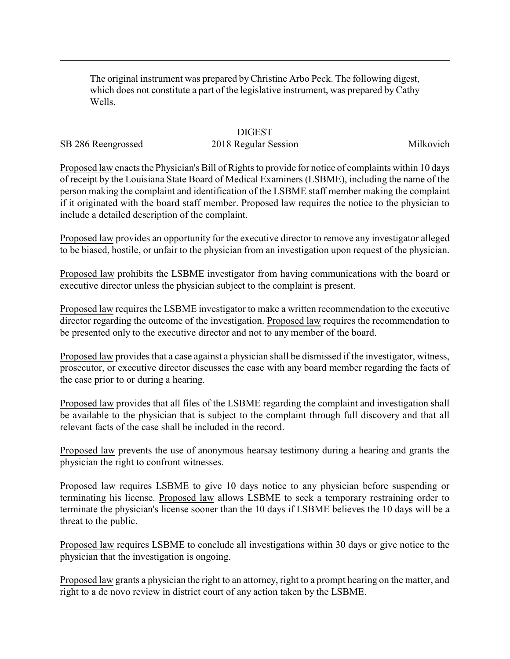The original instrument was prepared byChristine Arbo Peck. The following digest, which does not constitute a part of the legislative instrument, was prepared by Cathy Wells.

## **DIGEST**

## SB 286 Reengrossed 2018 Regular Session 2018 Milkovich

Proposed law enacts the Physician's Bill of Rights to provide for notice of complaints within 10 days of receipt by the Louisiana State Board of Medical Examiners (LSBME), including the name of the person making the complaint and identification of the LSBME staff member making the complaint if it originated with the board staff member. Proposed law requires the notice to the physician to include a detailed description of the complaint.

Proposed law provides an opportunity for the executive director to remove any investigator alleged to be biased, hostile, or unfair to the physician from an investigation upon request of the physician.

Proposed law prohibits the LSBME investigator from having communications with the board or executive director unless the physician subject to the complaint is present.

Proposed law requires the LSBME investigator to make a written recommendation to the executive director regarding the outcome of the investigation. Proposed law requires the recommendation to be presented only to the executive director and not to any member of the board.

Proposed law provides that a case against a physician shall be dismissed if the investigator, witness, prosecutor, or executive director discusses the case with any board member regarding the facts of the case prior to or during a hearing.

Proposed law provides that all files of the LSBME regarding the complaint and investigation shall be available to the physician that is subject to the complaint through full discovery and that all relevant facts of the case shall be included in the record.

Proposed law prevents the use of anonymous hearsay testimony during a hearing and grants the physician the right to confront witnesses.

Proposed law requires LSBME to give 10 days notice to any physician before suspending or terminating his license. Proposed law allows LSBME to seek a temporary restraining order to terminate the physician's license sooner than the 10 days if LSBME believes the 10 days will be a threat to the public.

Proposed law requires LSBME to conclude all investigations within 30 days or give notice to the physician that the investigation is ongoing.

Proposed law grants a physician the right to an attorney, right to a prompt hearing on the matter, and right to a de novo review in district court of any action taken by the LSBME.